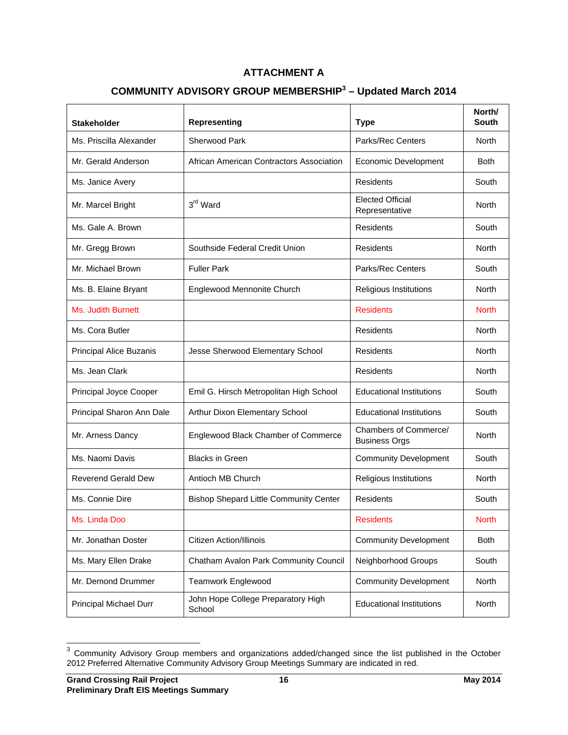## **ATTACHMENT A**

## **COMMUNITY ADVISORY GROUP MEMBERSHIP<sup>3</sup> – Updated March 2014**

| <b>Stakeholder</b>            | <b>Representing</b>                           | <b>Type</b>                                   | North/<br><b>South</b> |
|-------------------------------|-----------------------------------------------|-----------------------------------------------|------------------------|
| Ms. Priscilla Alexander       | <b>Sherwood Park</b>                          | <b>Parks/Rec Centers</b>                      | <b>North</b>           |
| Mr. Gerald Anderson           | African American Contractors Association      | <b>Economic Development</b>                   | <b>Both</b>            |
| Ms. Janice Avery              |                                               | Residents                                     | South                  |
| Mr. Marcel Bright             | 3rd Ward                                      | <b>Elected Official</b><br>Representative     | North                  |
| Ms. Gale A. Brown             |                                               | Residents                                     | South                  |
| Mr. Gregg Brown               | Southside Federal Credit Union                | Residents                                     | North                  |
| Mr. Michael Brown             | <b>Fuller Park</b>                            | <b>Parks/Rec Centers</b>                      | South                  |
| Ms. B. Elaine Bryant          | Englewood Mennonite Church                    | Religious Institutions                        | North                  |
| Ms. Judith Burnett            |                                               | <b>Residents</b>                              | <b>North</b>           |
| Ms. Cora Butler               |                                               | Residents                                     | North                  |
| Principal Alice Buzanis       | Jesse Sherwood Elementary School              | Residents                                     | North                  |
| Ms. Jean Clark                |                                               | Residents                                     | North                  |
| Principal Joyce Cooper        | Emil G. Hirsch Metropolitan High School       | <b>Educational Institutions</b>               | South                  |
| Principal Sharon Ann Dale     | Arthur Dixon Elementary School                | <b>Educational Institutions</b>               | South                  |
| Mr. Arness Dancy              | Englewood Black Chamber of Commerce           | Chambers of Commerce/<br><b>Business Orgs</b> | North                  |
| Ms. Naomi Davis               | <b>Blacks in Green</b>                        | <b>Community Development</b>                  | South                  |
| <b>Reverend Gerald Dew</b>    | Antioch MB Church                             | Religious Institutions                        | North                  |
| Ms. Connie Dire               | <b>Bishop Shepard Little Community Center</b> | <b>Residents</b>                              | South                  |
| Ms. Linda Doo                 |                                               | <b>Residents</b>                              | <b>North</b>           |
| Mr. Jonathan Doster           | <b>Citizen Action/Illinois</b>                | <b>Community Development</b>                  | <b>Both</b>            |
| Ms. Mary Ellen Drake          | Chatham Avalon Park Community Council         | Neighborhood Groups                           | South                  |
| Mr. Demond Drummer            | <b>Teamwork Englewood</b>                     | <b>Community Development</b>                  | North                  |
| <b>Principal Michael Durr</b> | John Hope College Preparatory High<br>School  | <b>Educational Institutions</b>               | North                  |

 $3$  Community Advisory Group members and organizations added/changed since the list published in the October 2012 Preferred Alternative Community Advisory Group Meetings Summary are indicated in red.

 $\overline{\phantom{a}}$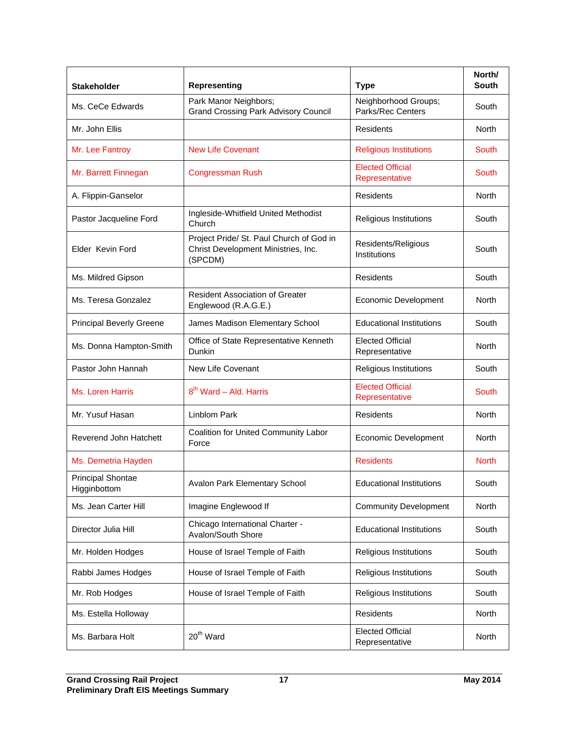| <b>Stakeholder</b>                       | <b>Representing</b>                                                                        | <b>Type</b>                               | North/<br><b>South</b> |
|------------------------------------------|--------------------------------------------------------------------------------------------|-------------------------------------------|------------------------|
| Ms. CeCe Edwards                         | Park Manor Neighbors;<br><b>Grand Crossing Park Advisory Council</b>                       | Neighborhood Groups;<br>Parks/Rec Centers | South                  |
| Mr. John Ellis                           |                                                                                            | <b>Residents</b>                          | <b>North</b>           |
| Mr. Lee Fantroy                          | <b>New Life Covenant</b>                                                                   | <b>Religious Institutions</b>             | South                  |
| Mr. Barrett Finnegan                     | <b>Congressman Rush</b>                                                                    | <b>Elected Official</b><br>Representative | South                  |
| A. Flippin-Ganselor                      |                                                                                            | Residents                                 | North                  |
| Pastor Jacqueline Ford                   | Ingleside-Whitfield United Methodist<br>Church                                             | Religious Institutions                    | South                  |
| Elder Kevin Ford                         | Project Pride/ St. Paul Church of God in<br>Christ Development Ministries, Inc.<br>(SPCDM) | Residents/Religious<br>Institutions       | South                  |
| Ms. Mildred Gipson                       |                                                                                            | Residents                                 | South                  |
| Ms. Teresa Gonzalez                      | <b>Resident Association of Greater</b><br>Englewood (R.A.G.E.)                             | Economic Development                      | <b>North</b>           |
| <b>Principal Beverly Greene</b>          | James Madison Elementary School                                                            | <b>Educational Institutions</b>           | South                  |
| Ms. Donna Hampton-Smith                  | Office of State Representative Kenneth<br>Dunkin                                           | <b>Elected Official</b><br>Representative | North                  |
| Pastor John Hannah                       | New Life Covenant                                                                          | Religious Institutions                    | South                  |
| Ms. Loren Harris                         | 8 <sup>th</sup> Ward - Ald. Harris                                                         | <b>Elected Official</b><br>Representative | South                  |
| Mr. Yusuf Hasan                          | <b>Linblom Park</b>                                                                        | <b>Residents</b>                          | North                  |
| Reverend John Hatchett                   | Coalition for United Community Labor<br>Force                                              | Economic Development                      | <b>North</b>           |
| Ms. Demetria Hayden                      |                                                                                            | <b>Residents</b>                          | <b>North</b>           |
| <b>Principal Shontae</b><br>Higginbottom | Avalon Park Elementary School                                                              | <b>Educational Institutions</b>           | South                  |
| Ms. Jean Carter Hill                     | Imagine Englewood If                                                                       | <b>Community Development</b>              | North                  |
| Director Julia Hill                      | Chicago International Charter -<br>Avalon/South Shore                                      | <b>Educational Institutions</b>           | South                  |
| Mr. Holden Hodges                        | House of Israel Temple of Faith                                                            | Religious Institutions                    | South                  |
| Rabbi James Hodges                       | House of Israel Temple of Faith                                                            | Religious Institutions                    | South                  |
| Mr. Rob Hodges                           | House of Israel Temple of Faith                                                            | Religious Institutions                    | South                  |
| Ms. Estella Holloway                     |                                                                                            | Residents                                 | North                  |
| Ms. Barbara Holt                         | 20 <sup>th</sup> Ward                                                                      | <b>Elected Official</b><br>Representative | North                  |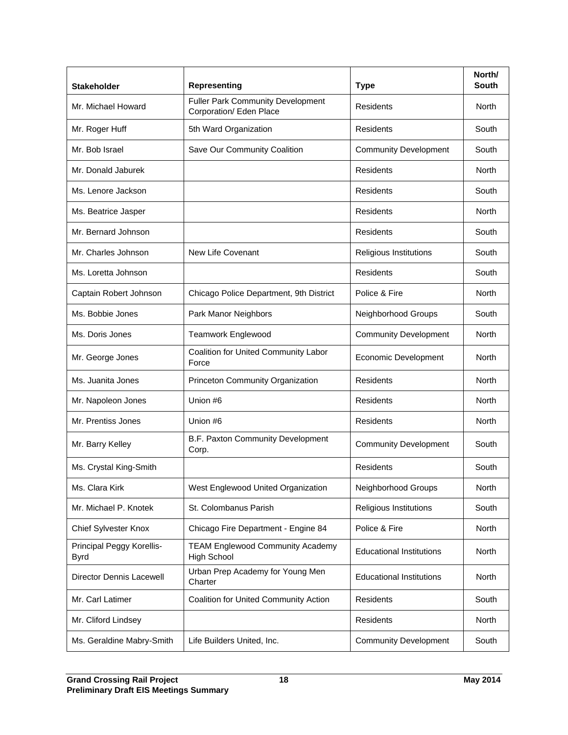| <b>Stakeholder</b>                | <b>Representing</b>                                                 | <b>Type</b>                     | North/<br><b>South</b> |
|-----------------------------------|---------------------------------------------------------------------|---------------------------------|------------------------|
| Mr. Michael Howard                | <b>Fuller Park Community Development</b><br>Corporation/ Eden Place | Residents                       | <b>North</b>           |
| Mr. Roger Huff                    | 5th Ward Organization                                               | Residents                       | South                  |
| Mr. Bob Israel                    | Save Our Community Coalition                                        | <b>Community Development</b>    | South                  |
| Mr. Donald Jaburek                |                                                                     | <b>Residents</b>                | <b>North</b>           |
| Ms. Lenore Jackson                |                                                                     | Residents                       | South                  |
| Ms. Beatrice Jasper               |                                                                     | <b>Residents</b>                | North                  |
| Mr. Bernard Johnson               |                                                                     | Residents                       | South                  |
| Mr. Charles Johnson               | New Life Covenant                                                   | Religious Institutions          | South                  |
| Ms. Loretta Johnson               |                                                                     | <b>Residents</b>                | South                  |
| Captain Robert Johnson            | Chicago Police Department, 9th District                             | Police & Fire                   | North                  |
| Ms. Bobbie Jones                  | Park Manor Neighbors                                                | Neighborhood Groups             | South                  |
| Ms. Doris Jones                   | <b>Teamwork Englewood</b>                                           | <b>Community Development</b>    | North                  |
| Mr. George Jones                  | Coalition for United Community Labor<br>Force                       | Economic Development            | <b>North</b>           |
| Ms. Juanita Jones                 | Princeton Community Organization                                    | Residents                       | North                  |
| Mr. Napoleon Jones                | Union #6                                                            | <b>Residents</b>                | North                  |
| Mr. Prentiss Jones                | Union #6                                                            | Residents                       | North                  |
| Mr. Barry Kelley                  | B.F. Paxton Community Development<br>Corp.                          | <b>Community Development</b>    | South                  |
| Ms. Crystal King-Smith            |                                                                     | Residents                       | South                  |
| Ms. Clara Kirk                    | West Englewood United Organization                                  | Neighborhood Groups             | <b>North</b>           |
| Mr. Michael P. Knotek             | St. Colombanus Parish                                               | Religious Institutions          | South                  |
| Chief Sylvester Knox              | Chicago Fire Department - Engine 84                                 | Police & Fire                   | <b>North</b>           |
| Principal Peggy Korellis-<br>Byrd | <b>TEAM Englewood Community Academy</b><br><b>High School</b>       | <b>Educational Institutions</b> | North                  |
| <b>Director Dennis Lacewell</b>   | Urban Prep Academy for Young Men<br>Charter                         | <b>Educational Institutions</b> | North                  |
| Mr. Carl Latimer                  | Coalition for United Community Action                               | Residents                       | South                  |
| Mr. Cliford Lindsey               |                                                                     | <b>Residents</b>                | North                  |
| Ms. Geraldine Mabry-Smith         | Life Builders United, Inc.                                          | <b>Community Development</b>    | South                  |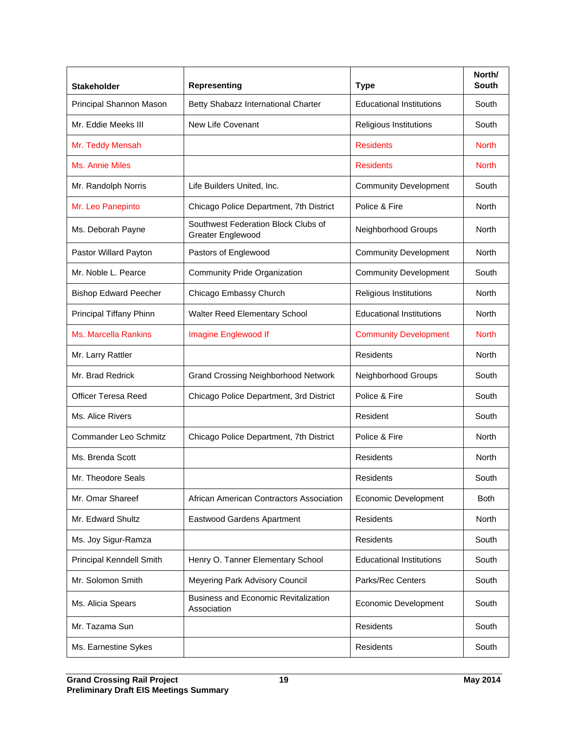| <b>Stakeholder</b>           | <b>Representing</b>                                             | <b>Type</b>                     | North/<br><b>South</b> |
|------------------------------|-----------------------------------------------------------------|---------------------------------|------------------------|
| Principal Shannon Mason      | Betty Shabazz International Charter                             | <b>Educational Institutions</b> | South                  |
| Mr. Eddie Meeks III          | New Life Covenant                                               | Religious Institutions          | South                  |
| Mr. Teddy Mensah             |                                                                 | <b>Residents</b>                | <b>North</b>           |
| <b>Ms. Annie Miles</b>       |                                                                 | <b>Residents</b>                | <b>North</b>           |
| Mr. Randolph Norris          | Life Builders United, Inc.                                      | <b>Community Development</b>    | South                  |
| Mr. Leo Panepinto            | Chicago Police Department, 7th District                         | Police & Fire                   | North                  |
| Ms. Deborah Payne            | Southwest Federation Block Clubs of<br><b>Greater Englewood</b> | Neighborhood Groups             | North                  |
| Pastor Willard Payton        | Pastors of Englewood                                            | <b>Community Development</b>    | <b>North</b>           |
| Mr. Noble L. Pearce          | <b>Community Pride Organization</b>                             | <b>Community Development</b>    | South                  |
| <b>Bishop Edward Peecher</b> | Chicago Embassy Church                                          | Religious Institutions          | North                  |
| Principal Tiffany Phinn      | Walter Reed Elementary School                                   | <b>Educational Institutions</b> | North                  |
| <b>Ms. Marcella Rankins</b>  | Imagine Englewood If                                            | <b>Community Development</b>    | <b>North</b>           |
| Mr. Larry Rattler            |                                                                 | <b>Residents</b>                | North                  |
| Mr. Brad Redrick             | <b>Grand Crossing Neighborhood Network</b>                      | Neighborhood Groups             | South                  |
| <b>Officer Teresa Reed</b>   | Chicago Police Department, 3rd District                         | Police & Fire                   | South                  |
| Ms. Alice Rivers             |                                                                 | Resident                        | South                  |
| Commander Leo Schmitz        | Chicago Police Department, 7th District                         | Police & Fire                   | North                  |
| Ms. Brenda Scott             |                                                                 | Residents                       | North                  |
| Mr. Theodore Seals           |                                                                 | Residents                       | South                  |
| Mr. Omar Shareef             | African American Contractors Association                        | <b>Economic Development</b>     | Both                   |
| Mr. Edward Shultz            | Eastwood Gardens Apartment                                      | Residents                       | North                  |
| Ms. Joy Sigur-Ramza          |                                                                 | Residents                       | South                  |
| Principal Kenndell Smith     | Henry O. Tanner Elementary School                               | <b>Educational Institutions</b> | South                  |
| Mr. Solomon Smith            | Meyering Park Advisory Council                                  | Parks/Rec Centers               | South                  |
| Ms. Alicia Spears            | <b>Business and Economic Revitalization</b><br>Association      | Economic Development            | South                  |
| Mr. Tazama Sun               |                                                                 | Residents                       | South                  |
| Ms. Earnestine Sykes         |                                                                 | Residents                       | South                  |